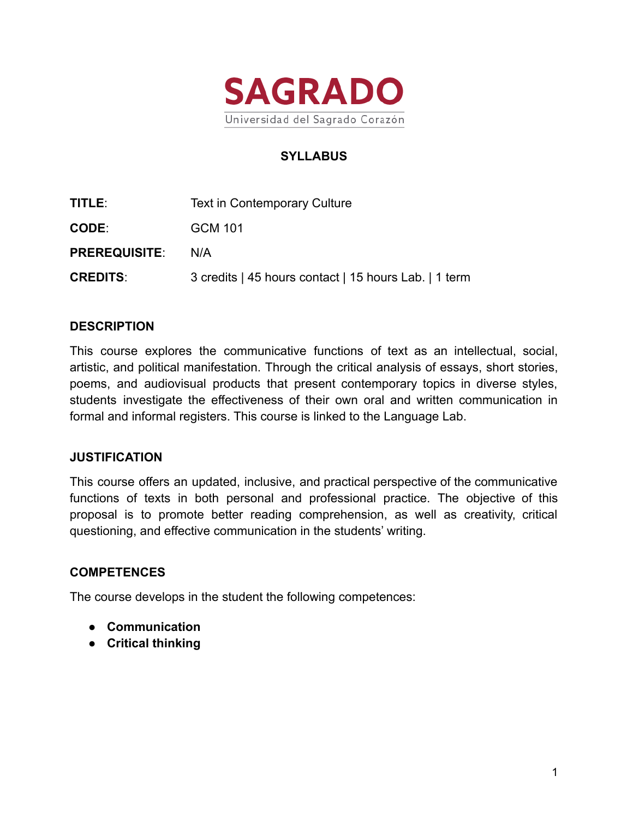

# **SYLLABUS**

| TITLE: I             | Text in Contemporary Culture                          |
|----------------------|-------------------------------------------------------|
| <b>CODE:</b>         | GCM 101                                               |
| <b>PREREQUISITE:</b> | N/A                                                   |
| <b>CREDITS:</b>      | 3 credits   45 hours contact   15 hours Lab.   1 term |

### **DESCRIPTION**

This course explores the communicative functions of text as an intellectual, social, artistic, and political manifestation. Through the critical analysis of essays, short stories, poems, and audiovisual products that present contemporary topics in diverse styles, students investigate the effectiveness of their own oral and written communication in formal and informal registers. This course is linked to the Language Lab.

### **JUSTIFICATION**

This course offers an updated, inclusive, and practical perspective of the communicative functions of texts in both personal and professional practice. The objective of this proposal is to promote better reading comprehension, as well as creativity, critical questioning, and effective communication in the students' writing.

### **COMPETENCES**

The course develops in the student the following competences:

- **Communication**
- **Critical thinking**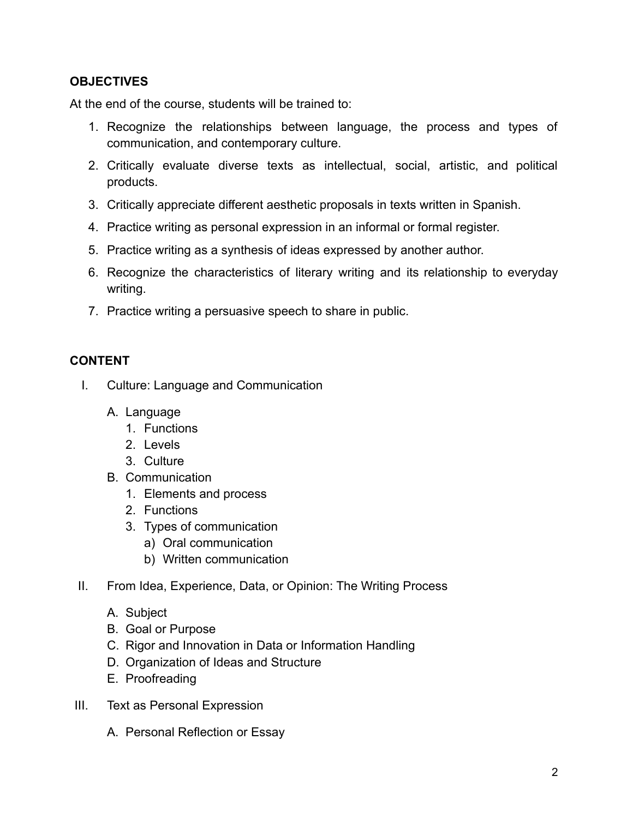# **OBJECTIVES**

At the end of the course, students will be trained to:

- 1. Recognize the relationships between language, the process and types of communication, and contemporary culture.
- 2. Critically evaluate diverse texts as intellectual, social, artistic, and political products.
- 3. Critically appreciate different aesthetic proposals in texts written in Spanish.
- 4. Practice writing as personal expression in an informal or formal register.
- 5. Practice writing as a synthesis of ideas expressed by another author.
- 6. Recognize the characteristics of literary writing and its relationship to everyday writing.
- 7. Practice writing a persuasive speech to share in public.

## **CONTENT**

- I. Culture: Language and Communication
	- A. Language
		- 1. Functions
		- 2. Levels
		- 3. Culture
	- B. Communication
		- 1. Elements and process
		- 2. Functions
		- 3. Types of communication
			- a) Oral communication
			- b) Written communication
- II. From Idea, Experience, Data, or Opinion: The Writing Process
	- A. Subject
	- B. Goal or Purpose
	- C. Rigor and Innovation in Data or Information Handling
	- D. Organization of Ideas and Structure
	- E. Proofreading
- III. Text as Personal Expression
	- A. Personal Reflection or Essay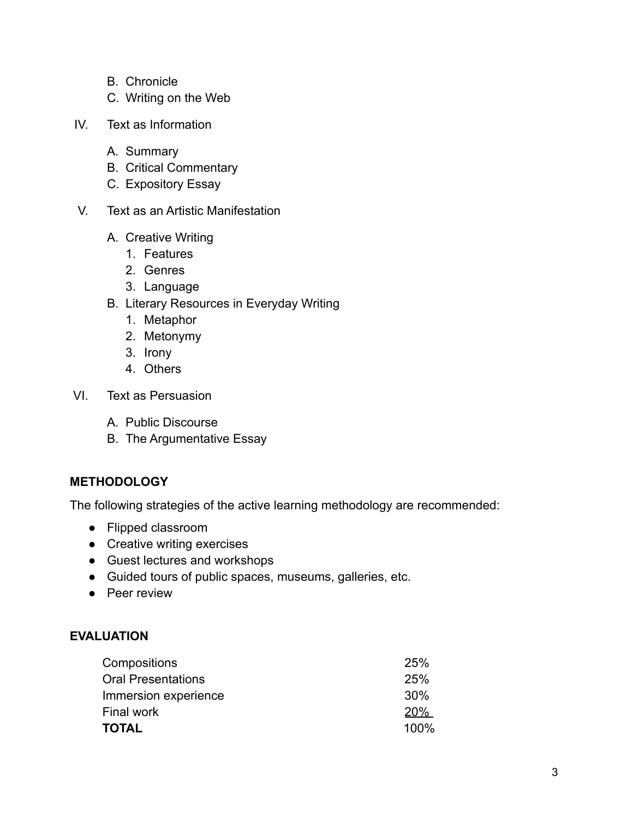- B. Chronicle
- C. Writing on the Web
- IV. Text as Information
	- A. Summary
	- B. Critical Commentary
	- C. Expository Essay
- V. Text as an Artistic Manifestation
	- A. Creative Writing
		- 1. Features
		- 2. Genres
		- 3. Language
	- B. Literary Resources in Everyday Writing
		- 1. Metaphor
		- 2. Metonymy
		- 3. Irony
		- 4. Others
- VI. Text as Persuasion
	- A. Public Discourse
	- B. The Argumentative Essay

# **METHODOLOGY**

The following strategies of the active learning methodology are recommended:

- Flipped classroom
- Creative writing exercises
- Guest lectures and workshops
- Guided tours of public spaces, museums, galleries, etc.
- Peer review

# **EVALUATION**

| 25%        |
|------------|
| 25%        |
| 30%        |
| <b>20%</b> |
| 100%       |
|            |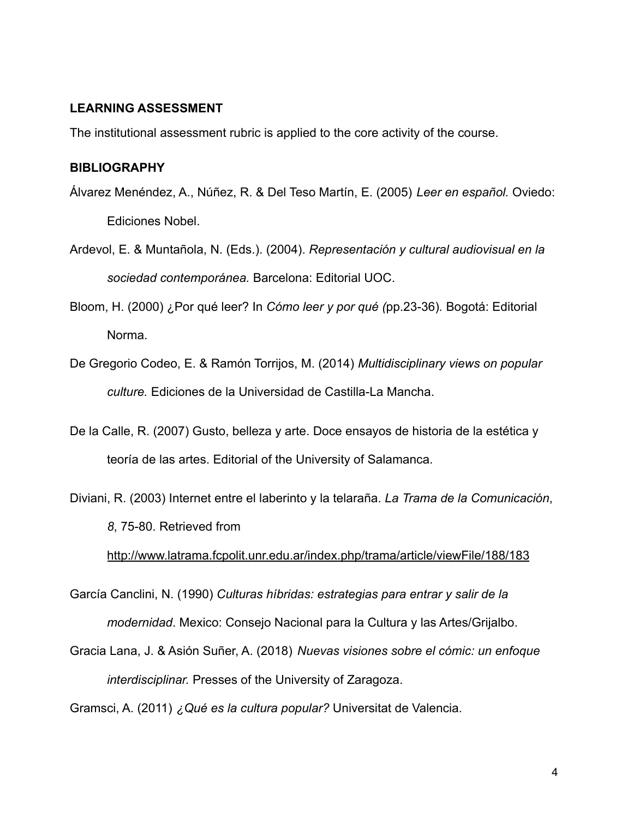### **LEARNING ASSESSMENT**

The institutional assessment rubric is applied to the core activity of the course.

#### **BIBLIOGRAPHY**

- Álvarez Menéndez, A., Núñez, R. & Del Teso Martín, E. (2005) *Leer en español.* Oviedo: Ediciones Nobel.
- Ardevol, E. & Muntañola, N. (Eds.). (2004). *Representación y cultural audiovisual en la sociedad contemporánea.* Barcelona: Editorial UOC.
- Bloom, H. (2000) ¿Por qué leer? In *Cómo leer y por qué (*pp.23-36)*.* Bogotá: Editorial Norma.
- De Gregorio Codeo, E. & Ramón Torrijos, M. (2014) *Multidisciplinary views on popular culture.* Ediciones de la Universidad de Castilla-La Mancha.
- De la Calle, R. (2007) Gusto, belleza y arte. Doce ensayos de historia de la estética y teoría de las artes. Editorial of the University of Salamanca.
- Diviani, R. (2003) Internet entre el laberinto y la telaraña. *La Trama de la Comunicación*, *8*, 75-80. Retrieved from

<http://www.latrama.fcpolit.unr.edu.ar/index.php/trama/article/viewFile/188/183>

- García Canclini, N. (1990) *Culturas híbridas: estrategias para entrar y salir de la modernidad*. Mexico: Consejo Nacional para la Cultura y las Artes/Grijalbo.
- Gracia Lana, J. & Asión Suñer, A. (2018) *Nuevas visiones sobre el cómic: un enfoque interdisciplinar.* Presses of the University of Zaragoza.

Gramsci, A. (2011) *¿Qué es la cultura popular?* Universitat de Valencia.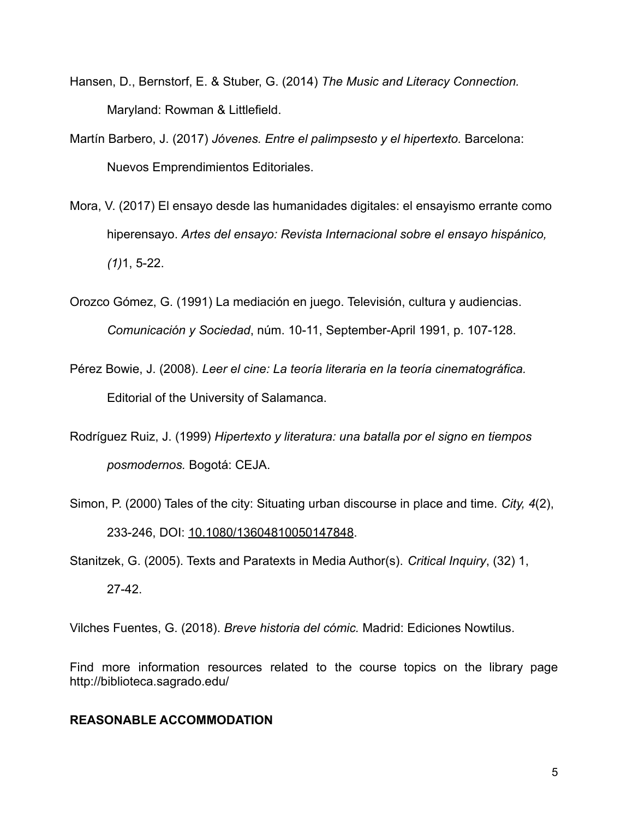- Hansen, D., Bernstorf, E. & Stuber, G. (2014) *The Music and Literacy Connection.* Maryland: Rowman & Littlefield.
- Martín Barbero, J. (2017) *Jóvenes. Entre el palimpsesto y el hipertexto.* Barcelona: Nuevos Emprendimientos Editoriales.
- Mora, V. (2017) El ensayo desde las humanidades digitales: el ensayismo errante como hiperensayo. *Artes del ensayo: Revista Internacional sobre el ensayo hispánico, (1)*1, 5-22.
- Orozco Gómez, G. (1991) La mediación en juego. Televisión, cultura y audiencias. *Comunicación y Sociedad*, núm. 10-11, September-April 1991, p. 107-128.
- Pérez Bowie, J. (2008). *Leer el cine: La teoría literaria en la teoría cinematográfica.* Editorial of the University of Salamanca.
- Rodríguez Ruiz, J. (1999) *Hipertexto y literatura: una batalla por el signo en tiempos posmodernos.* Bogotá: CEJA.
- Simon, P. (2000) Tales of the city: Situating urban discourse in place and time. *City, 4*(2), 233-246, DOI: [10.1080/13604810050147848](https://doi.org/10.1080/13604810050147848).

Stanitzek, G. (2005). Texts and Paratexts in Media Author(s). *Critical Inquiry*, (32) 1,

27-42.

Vilches Fuentes, G. (2018). *Breve historia del cómic.* Madrid: Ediciones Nowtilus.

Find more information resources related to the course topics on the library page http://biblioteca.sagrado.edu/

### **REASONABLE ACCOMMODATION**